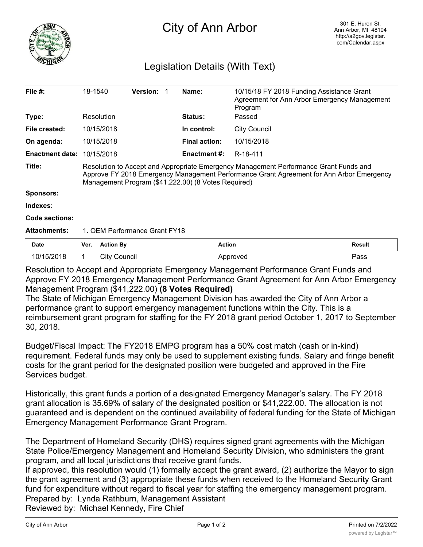

## City of Ann Arbor

## Legislation Details (With Text)

| File $#$ :             | 18-1540                                                                                                                                                                                                                                  |                     | <b>Version:</b> |  | Name:                | 10/15/18 FY 2018 Funding Assistance Grant<br>Agreement for Ann Arbor Emergency Management<br>Program |        |
|------------------------|------------------------------------------------------------------------------------------------------------------------------------------------------------------------------------------------------------------------------------------|---------------------|-----------------|--|----------------------|------------------------------------------------------------------------------------------------------|--------|
| Type:                  |                                                                                                                                                                                                                                          | Resolution          |                 |  | Status:              | Passed                                                                                               |        |
| File created:          |                                                                                                                                                                                                                                          | 10/15/2018          |                 |  | In control:          | <b>City Council</b>                                                                                  |        |
| On agenda:             |                                                                                                                                                                                                                                          | 10/15/2018          |                 |  | <b>Final action:</b> | 10/15/2018                                                                                           |        |
| <b>Enactment date:</b> |                                                                                                                                                                                                                                          | 10/15/2018          |                 |  | Enactment #:         | R-18-411                                                                                             |        |
| Title:                 | Resolution to Accept and Appropriate Emergency Management Performance Grant Funds and<br>Approve FY 2018 Emergency Management Performance Grant Agreement for Ann Arbor Emergency<br>Management Program (\$41,222.00) (8 Votes Required) |                     |                 |  |                      |                                                                                                      |        |
| <b>Sponsors:</b>       |                                                                                                                                                                                                                                          |                     |                 |  |                      |                                                                                                      |        |
| Indexes:               |                                                                                                                                                                                                                                          |                     |                 |  |                      |                                                                                                      |        |
| Code sections:         |                                                                                                                                                                                                                                          |                     |                 |  |                      |                                                                                                      |        |
| <b>Attachments:</b>    | 1. OEM Performance Grant FY18                                                                                                                                                                                                            |                     |                 |  |                      |                                                                                                      |        |
| Date                   | Ver.                                                                                                                                                                                                                                     | <b>Action By</b>    |                 |  | <b>Action</b>        |                                                                                                      | Result |
| 10/15/2018             | 1                                                                                                                                                                                                                                        | <b>City Council</b> |                 |  |                      | Approved                                                                                             | Pass   |

Resolution to Accept and Appropriate Emergency Management Performance Grant Funds and Approve FY 2018 Emergency Management Performance Grant Agreement for Ann Arbor Emergency Management Program (\$41,222.00) **(8 Votes Required)**

The State of Michigan Emergency Management Division has awarded the City of Ann Arbor a performance grant to support emergency management functions within the City. This is a reimbursement grant program for staffing for the FY 2018 grant period October 1, 2017 to September 30, 2018.

Budget/Fiscal Impact: The FY2018 EMPG program has a 50% cost match (cash or in-kind) requirement. Federal funds may only be used to supplement existing funds. Salary and fringe benefit costs for the grant period for the designated position were budgeted and approved in the Fire Services budget.

Historically, this grant funds a portion of a designated Emergency Manager's salary. The FY 2018 grant allocation is 35.69% of salary of the designated position or \$41,222.00. The allocation is not guaranteed and is dependent on the continued availability of federal funding for the State of Michigan Emergency Management Performance Grant Program.

The Department of Homeland Security (DHS) requires signed grant agreements with the Michigan State Police/Emergency Management and Homeland Security Division, who administers the grant program, and all local jurisdictions that receive grant funds.

If approved, this resolution would (1) formally accept the grant award, (2) authorize the Mayor to sign the grant agreement and (3) appropriate these funds when received to the Homeland Security Grant fund for expenditure without regard to fiscal year for staffing the emergency management program. Prepared by: Lynda Rathburn, Management Assistant

Reviewed by: Michael Kennedy, Fire Chief